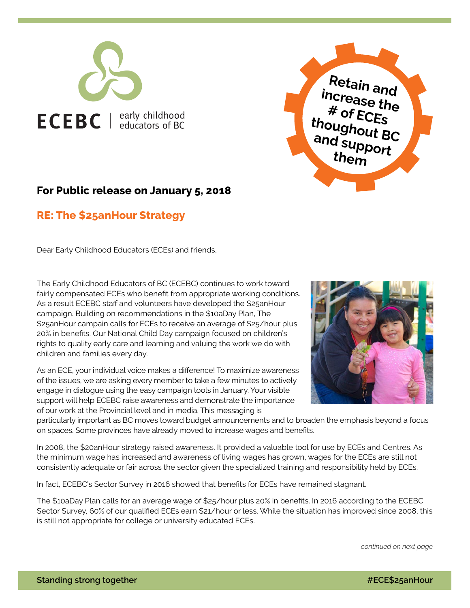



## **For Public release on January 5, 2018**

## **RE: The \$25anHour Strategy**

Dear Early Childhood Educators (ECEs) and friends,

The Early Childhood Educators of BC (ECEBC) continues to work toward fairly compensated ECEs who benefit from appropriate working conditions. As a result ECEBC staff and volunteers have developed the \$25anHour campaign. Building on recommendations in the \$10aDay Plan, The \$25anHour campain calls for ECEs to receive an average of \$25/hour plus 20% in benefits. Our National Child Day campaign focused on children's rights to quality early care and learning and valuing the work we do with children and families every day.

As an ECE, your individual voice makes a difference! To maximize awareness of the issues, we are asking every member to take a few minutes to actively engage in dialogue using the easy campaign tools in January. Your visible support will help ECEBC raise awareness and demonstrate the importance of our work at the Provincial level and in media. This messaging is



particularly important as BC moves toward budget announcements and to broaden the emphasis beyond a focus on spaces. Some provinces have already moved to increase wages and benefits.

In 2008, the \$20anHour strategy raised awareness. It provided a valuable tool for use by ECEs and Centres. As the minimum wage has increased and awareness of living wages has grown, wages for the ECEs are still not consistently adequate or fair across the sector given the specialized training and responsibility held by ECEs.

In fact, ECEBC's Sector Survey in 2016 showed that benefits for ECEs have remained stagnant.

The \$10aDay Plan calls for an average wage of \$25/hour plus 20% in benefits. In 2016 according to the ECEBC Sector Survey, 60% of our qualified ECEs earn \$21/hour or less. While the situation has improved since 2008, this is still not appropriate for college or university educated ECEs.

*continued on next page*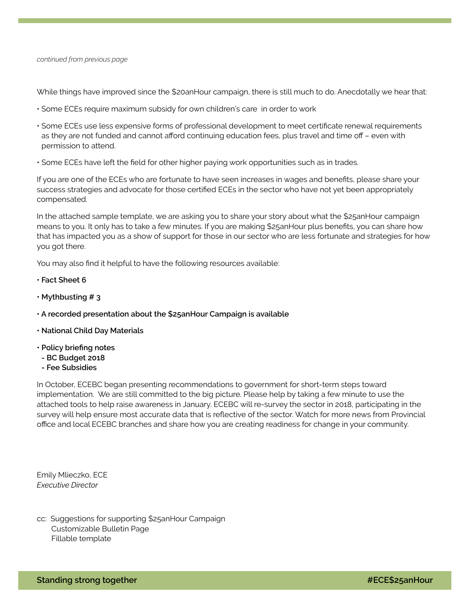#### *continued from previous page*

While things have improved since the \$20anHour campaign, there is still much to do. Anecdotally we hear that:

- Some ECEs require maximum subsidy for own children's care in order to work
- Some ECEs use less expensive forms of professional development to meet certificate renewal requirements as they are not funded and cannot afford continuing education fees, plus travel and time off – even with permission to attend.
- Some ECEs have left the field for other higher paying work opportunities such as in trades.

If you are one of the ECEs who are fortunate to have seen increases in wages and benefits, please share your success strategies and advocate for those certified ECEs in the sector who have not yet been appropriately compensated.

In the attached sample template, we are asking you to share your story about what the \$25anHour campaign means to you. It only has to take a few minutes. If you are making \$25anHour plus benefits, you can share how that has impacted you as a show of support for those in our sector who are less fortunate and strategies for how you got there.

You may also find it helpful to have the following resources available:

- **• [Fact Sheet 6](http://www.ecebc.ca/news/fact_sheets/FactSheet6/Fact_sheet_6.pdf)**
- **• [Mythbusting # 3](http://www.ecebc.ca/news/myths/myth_3.png)**
- **[A recorded presentation about the \\$25anHour Campaign is available](https://www.youtube.com/watch?v=Qh_GvoywMAQ&t=11s)**
- **• [National Child Day Materials](http://www.ecebc.ca/news/1117_ecebc_national_child_day_2017.pdf)**
- **Policy briefing notes**
- **[BC Budget 2018](https://d3n8a8pro7vhmx.cloudfront.net/10aday/pages/86/attachments/original/1509139378/10aDay_policy_briefing_note_FIRST_STEPS_Oct_2017_web_3.pdf?1509139378)**
- **[Fee Subsidies](https://d3n8a8pro7vhmx.cloudfront.net/10aday/pages/86/attachments/original/1509139380/10aDay_policy_briefing_note_SUBSIDIES_Oct_2017_web_3.pdf?1509139380)**

In October, ECEBC began presenting recommendations to government for short-term steps toward implementation. We are still committed to the big picture. Please help by taking a few minute to use the attached tools to help raise awareness in January. ECEBC will re-survey the sector in 2018, participating in the survey will help ensure most accurate data that is reflective of the sector. Watch for more news from Provincial office and local ECEBC branches and share how you are creating readiness for change in your community.

Emily Mlieczko, ECE *Executive Director*

cc: Suggestions for supporting \$25anHour Campaign Customizable Bulletin Page Fillable template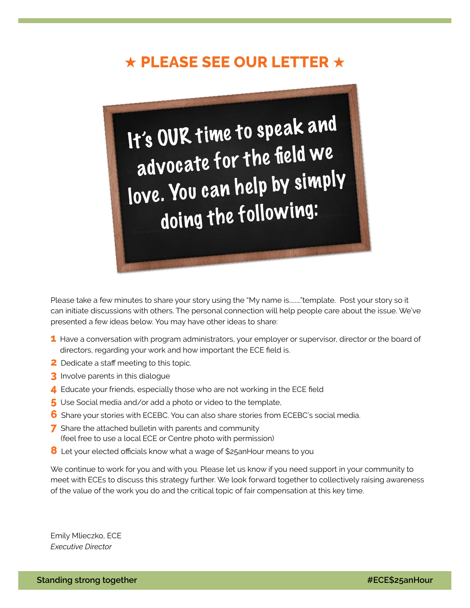# **★ PLEASE SEE OUR LETTER ★**



Please take a few minutes to share your story using the "My name is........"template. Post your story so it can initiate discussions with others. The personal connection will help people care about the issue. We've presented a few ideas below. You may have other ideas to share:

- **1** Have a conversation with program administrators, your employer or supervisor, director or the board of directors, regarding your work and how important the ECE field is.
- **2** Dedicate a staff meeting to this topic.
- **3** Involve parents in this dialogue
- **4** Educate your friends, especially those who are not working in the ECE field
- **5** Use Social media and/or add a photo or video to the template,
- **6** Share your stories with ECEBC. You can also share stories from ECEBC's social media.
- **7** Share the attached bulletin with parents and community (feel free to use a local ECE or Centre photo with permission)
- **8** Let your elected officials know what a wage of \$25anHour means to you

We continue to work for you and with you. Please let us know if you need support in your community to meet with ECEs to discuss this strategy further. We look forward together to collectively raising awareness of the value of the work you do and the critical topic of fair compensation at this key time.

Emily Mlieczko, ECE *Executive Director*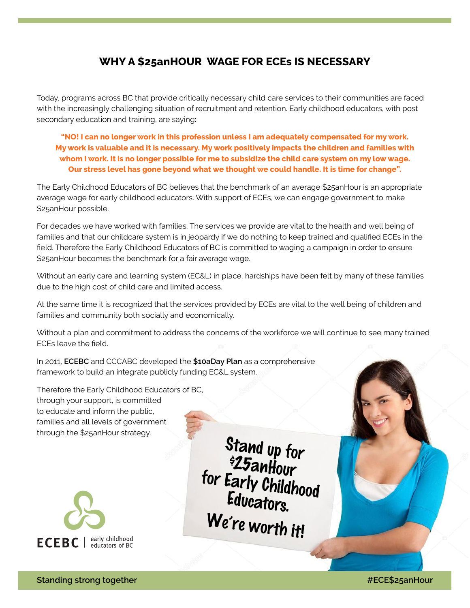## **WHY A \$25anHOUR WAGE FOR ECEs IS NECESSARY**

Today, programs across BC that provide critically necessary child care services to their communities are faced with the increasingly challenging situation of recruitment and retention. Early childhood educators, with post secondary education and training, are saying:

**"NO! I can no longer work in this profession unless I am adequately compensated for my work. My work is valuable and it is necessary. My work positively impacts the children and families with whom I work. It is no longer possible for me to subsidize the child care system on my low wage. Our stress level has gone beyond what we thought we could handle. It is time for change".** 

The Early Childhood Educators of BC believes that the benchmark of an average \$25anHour is an appropriate average wage for early childhood educators. With support of ECEs, we can engage government to make \$25anHour possible.

For decades we have worked with families. The services we provide are vital to the health and well being of families and that our childcare system is in jeopardy if we do nothing to keep trained and qualified ECEs in the field. Therefore the Early Childhood Educators of BC is committed to waging a campaign in order to ensure \$25anHour becomes the benchmark for a fair average wage.

Without an early care and learning system (EC&L) in place, hardships have been felt by many of these families due to the high cost of child care and limited access.

At the same time it is recognized that the services provided by ECEs are vital to the well being of children and families and community both socially and economically.

Without a plan and commitment to address the concerns of the workforce we will continue to see many trained ECEs leave the field.

In 2011, **[ECEBC](http://www.ecebc.ca/)** and CCCABC developed the **[\\$10aDay Plan](https://www.10aday.ca/)** as a comprehensive framework to build an integrate publicly funding EC&L system.

Therefore the Early Childhood Educators of BC, through your support, is committed to educate and inform the public, families and all levels of government through the \$25anHour strategy.



Stand up for *\$25anHour* for Early Childhood Educators. We're worth it!